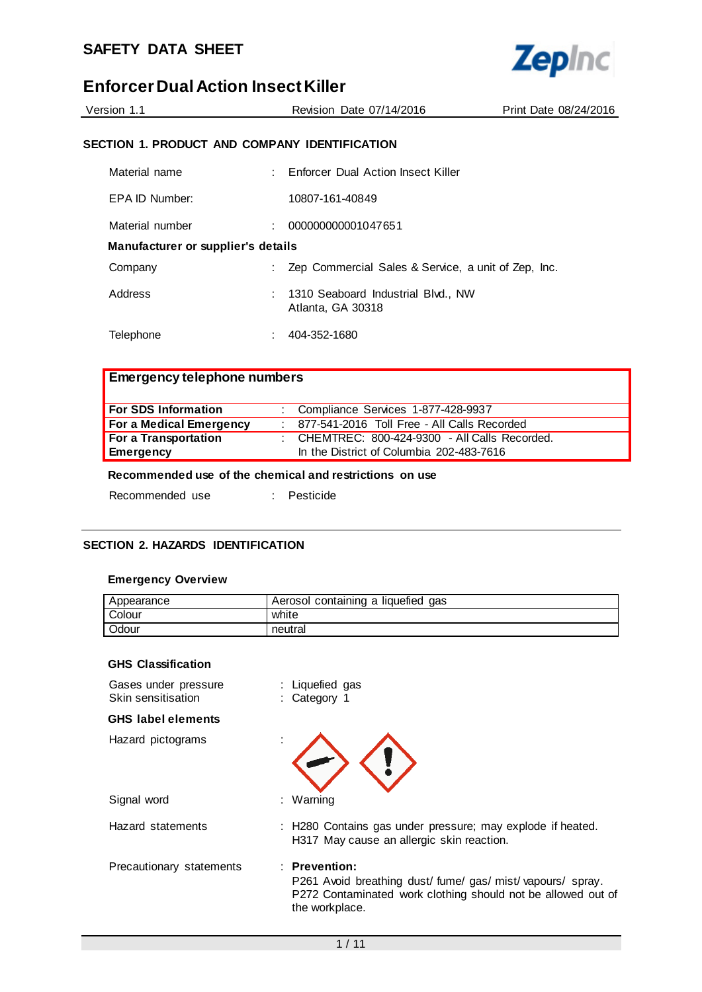

| Version 1.1 | Revision Date 07/14/2016 | Print Date 08/24/2016 |
|-------------|--------------------------|-----------------------|
|             |                          |                       |

## **SECTION 1. PRODUCT AND COMPANY IDENTIFICATION**

| Material name                      |  | : Enforcer Dual Action Insect Killer                    |
|------------------------------------|--|---------------------------------------------------------|
| EPA ID Number:                     |  | 10807-161-40849                                         |
| Material number                    |  | 000000000001047651                                      |
| Manufacturer or supplier's details |  |                                                         |
| Company                            |  | Zep Commercial Sales & Service, a unit of Zep, Inc.     |
| Address                            |  | 1310 Seaboard Industrial Blvd., NW<br>Atlanta, GA 30318 |
| Telephone                          |  | 404-352-1680                                            |

# **Emergency telephone numbers**

| For SDS Information     | : Compliance Services 1-877-428-9937             |
|-------------------------|--------------------------------------------------|
| For a Medical Emergency | 877-541-2016 Toll Free - All Calls Recorded      |
| For a Transportation    | : CHEMTREC: $800-424-9300$ - All Calls Recorded. |
| Emergency               | In the District of Columbia 202-483-7616         |

## **Recommended use of the chemical and restrictions on use**

| Recommended use |  | Pesticide |
|-----------------|--|-----------|
|                 |  |           |

#### **SECTION 2. HAZARDS IDENTIFICATION**

#### **Emergency Overview**

| Appearance | Aerosol containing a liquefied gas |
|------------|------------------------------------|
| Colour     | white                              |
| Odour      | neutral                            |

#### **GHS Classification**

| Gases under pressure<br>Skin sensitisation | : Liquefied gas<br>: Category 1                                                                                                                             |
|--------------------------------------------|-------------------------------------------------------------------------------------------------------------------------------------------------------------|
| <b>GHS</b> label elements                  |                                                                                                                                                             |
| Hazard pictograms                          |                                                                                                                                                             |
| Signal word                                | : Warning                                                                                                                                                   |
| Hazard statements                          | : H280 Contains gas under pressure; may explode if heated.<br>H317 May cause an allergic skin reaction.                                                     |
| Precautionary statements                   | $:$ Prevention:<br>P261 Avoid breathing dust/fume/gas/mist/vapours/spray.<br>P272 Contaminated work clothing should not be allowed out of<br>the workplace. |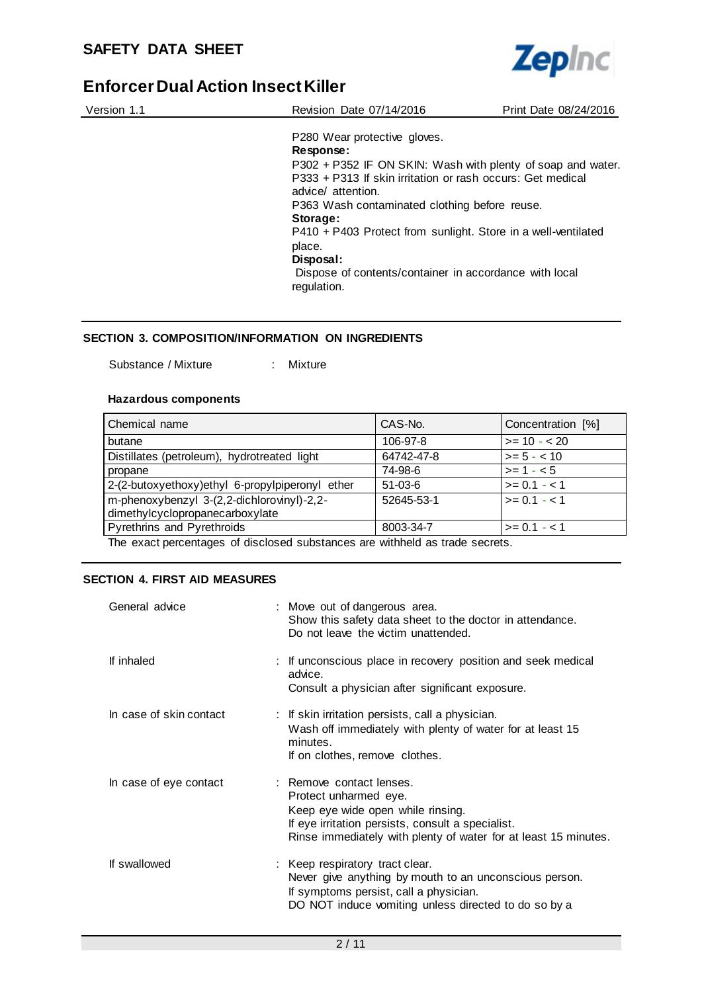

| Version 1.1 | Revision Date 07/14/2016                                                         | Print Date 08/24/2016 |
|-------------|----------------------------------------------------------------------------------|-----------------------|
|             | P280 Wear protective gloves.                                                     |                       |
|             | Response:                                                                        |                       |
|             | P302 + P352 IF ON SKIN: Wash with plenty of soap and water.                      |                       |
|             | P333 + P313 If skin irritation or rash occurs: Get medical<br>advice/ attention. |                       |
|             | P363 Wash contaminated clothing before reuse.                                    |                       |
|             | Storage:                                                                         |                       |
|             | P410 + P403 Protect from sunlight. Store in a well-ventilated                    |                       |
|             | place.                                                                           |                       |
|             | Disposal:                                                                        |                       |
|             | Dispose of contents/container in accordance with local<br>regulation.            |                       |

### **SECTION 3. COMPOSITION/INFORMATION ON INGREDIENTS**

Substance / Mixture : Mixture

#### **Hazardous components**

| Chemical name                                                                 | CAS-No.    | Concentration [%] |
|-------------------------------------------------------------------------------|------------|-------------------|
| butane                                                                        | 106-97-8   | $>= 10 - 20$      |
| Distillates (petroleum), hydrotreated light                                   | 64742-47-8 | $>= 5 - < 10$     |
| propane                                                                       | 74-98-6    | $>= 1 - 5$        |
| 2-(2-butoxyethoxy)ethyl 6-propylpiperonyl ether                               | $51-03-6$  | $>= 0.1 - 1.1$    |
| m-phenoxybenzyl 3-(2,2-dichlorovinyl)-2,2-<br>dimethylcyclopropanecarboxylate | 52645-53-1 | $>= 0.1 - 1.1$    |
| Pyrethrins and Pyrethroids                                                    | 8003-34-7  | $>= 0.1 - 1$      |
| .                                                                             |            |                   |

The exact percentages of disclosed substances are withheld as trade secrets.

### **SECTION 4. FIRST AID MEASURES**

| General advice          | : Move out of dangerous area.<br>Show this safety data sheet to the doctor in attendance.<br>Do not leave the victim unattended.                                                                               |
|-------------------------|----------------------------------------------------------------------------------------------------------------------------------------------------------------------------------------------------------------|
| If inhaled              | : If unconscious place in recovery position and seek medical<br>advice.<br>Consult a physician after significant exposure.                                                                                     |
| In case of skin contact | : If skin irritation persists, call a physician.<br>Wash off immediately with plenty of water for at least 15<br>minutes.<br>If on clothes, remove clothes.                                                    |
| In case of eye contact  | : Remove contact lenses.<br>Protect unharmed eye.<br>Keep eye wide open while rinsing.<br>If eye irritation persists, consult a specialist.<br>Rinse immediately with plenty of water for at least 15 minutes. |
| If swallowed            | : Keep respiratory tract clear.<br>Never give anything by mouth to an unconscious person.<br>If symptoms persist, call a physician.<br>DO NOT induce vomiting unless directed to do so by a                    |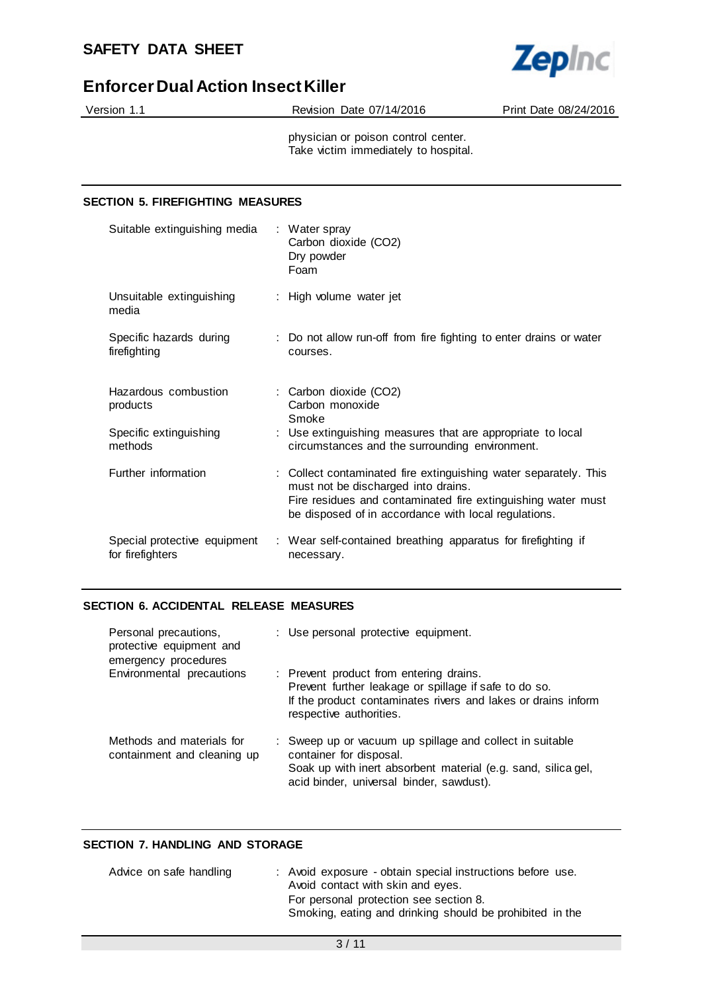

| Version 1.1 |  |
|-------------|--|

Revision Date 07/14/2016 Print Date 08/24/2016

physician or poison control center. Take victim immediately to hospital.

## **SECTION 5. FIREFIGHTING MEASURES**

| Suitable extinguishing media                     | : Water spray<br>Carbon dioxide (CO2)<br>Dry powder<br>Foam                                                                                                                                                                     |
|--------------------------------------------------|---------------------------------------------------------------------------------------------------------------------------------------------------------------------------------------------------------------------------------|
| Unsuitable extinguishing<br>media                | : High volume water jet                                                                                                                                                                                                         |
| Specific hazards during<br>firefighting          | : Do not allow run-off from fire fighting to enter drains or water<br>courses.                                                                                                                                                  |
| Hazardous combustion<br>products                 | : Carbon dioxide (CO2)<br>Carbon monoxide<br>Smoke                                                                                                                                                                              |
| Specific extinguishing<br>methods                | : Use extinguishing measures that are appropriate to local<br>circumstances and the surrounding environment.                                                                                                                    |
| Further information                              | : Collect contaminated fire extinguishing water separately. This<br>must not be discharged into drains.<br>Fire residues and contaminated fire extinguishing water must<br>be disposed of in accordance with local regulations. |
| Special protective equipment<br>for firefighters | : Wear self-contained breathing apparatus for firefighting if<br>necessary.                                                                                                                                                     |

### **SECTION 6. ACCIDENTAL RELEASE MEASURES**

| Personal precautions,<br>protective equipment and<br>emergency procedures | : Use personal protective equipment.                                                                                                                                                             |
|---------------------------------------------------------------------------|--------------------------------------------------------------------------------------------------------------------------------------------------------------------------------------------------|
| Environmental precautions                                                 | : Prevent product from entering drains.<br>Prevent further leakage or spillage if safe to do so.<br>If the product contaminates rivers and lakes or drains inform<br>respective authorities.     |
| Methods and materials for<br>containment and cleaning up                  | : Sweep up or vacuum up spillage and collect in suitable<br>container for disposal.<br>Soak up with inert absorbent material (e.g. sand, silica gel,<br>acid binder, universal binder, sawdust). |

## **SECTION 7. HANDLING AND STORAGE**

| Advice on safe handling | : Avoid exposure - obtain special instructions before use.<br>Avoid contact with skin and eyes.    |
|-------------------------|----------------------------------------------------------------------------------------------------|
|                         | For personal protection see section 8.<br>Smoking, eating and drinking should be prohibited in the |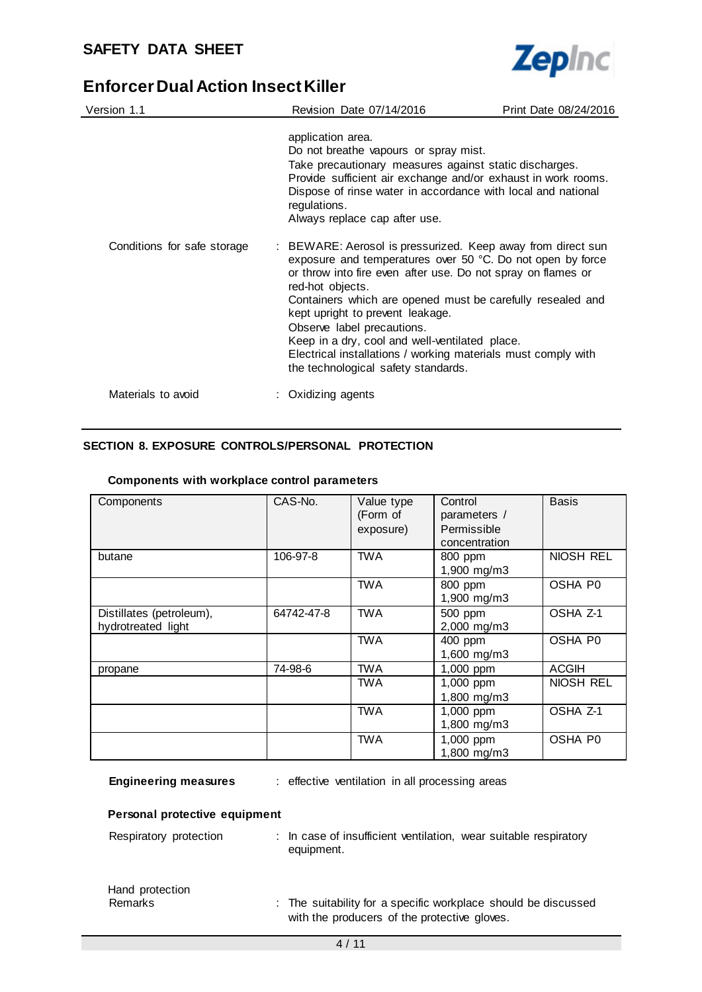

| Version 1.1                 | Revision Date 07/14/2016                                                                                                                                                                                                                                                                                                                                                                                                                                                                                | Print Date 08/24/2016 |
|-----------------------------|---------------------------------------------------------------------------------------------------------------------------------------------------------------------------------------------------------------------------------------------------------------------------------------------------------------------------------------------------------------------------------------------------------------------------------------------------------------------------------------------------------|-----------------------|
|                             | application area.<br>Do not breathe vapours or spray mist.<br>Take precautionary measures against static discharges.<br>Provide sufficient air exchange and/or exhaust in work rooms.<br>Dispose of rinse water in accordance with local and national<br>regulations.<br>Always replace cap after use.                                                                                                                                                                                                  |                       |
| Conditions for safe storage | : BEWARE: Aerosol is pressurized. Keep away from direct sun<br>exposure and temperatures over 50 °C. Do not open by force<br>or throw into fire even after use. Do not spray on flames or<br>red-hot objects.<br>Containers which are opened must be carefully resealed and<br>kept upright to prevent leakage.<br>Observe label precautions.<br>Keep in a dry, cool and well-ventilated place.<br>Electrical installations / working materials must comply with<br>the technological safety standards. |                       |
| Materials to avoid          | : Oxidizing agents                                                                                                                                                                                                                                                                                                                                                                                                                                                                                      |                       |

## **SECTION 8. EXPOSURE CONTROLS/PERSONAL PROTECTION**

| Components                                     | CAS-No.    | Value type<br>(Form of<br>exposure) | Control<br>parameters /<br>Permissible<br>concentration | <b>Basis</b>        |
|------------------------------------------------|------------|-------------------------------------|---------------------------------------------------------|---------------------|
| butane                                         | 106-97-8   | <b>TWA</b>                          | 800 ppm<br>1,900 mg/m3                                  | NIOSH REL           |
|                                                |            | <b>TWA</b>                          | 800 ppm<br>1,900 mg/m3                                  | OSHA P0             |
| Distillates (petroleum),<br>hydrotreated light | 64742-47-8 | <b>TWA</b>                          | 500 ppm<br>2,000 mg/m3                                  | OSHA Z-1            |
|                                                |            | <b>TWA</b>                          | 400 ppm<br>1,600 mg/m3                                  | OSHA P0             |
| propane                                        | 74-98-6    | TWA                                 | 1,000 ppm                                               | <b>ACGIH</b>        |
|                                                |            | TWA                                 | 1,000 ppm<br>1,800 mg/m3                                | NIOSH REL           |
|                                                |            | <b>TWA</b>                          | 1,000 ppm<br>1,800 mg/m3                                | OSHA <sub>Z-1</sub> |
|                                                |            | <b>TWA</b>                          | 1,000 ppm<br>1,800 mg/m3                                | OSHA P0             |

#### **Components with workplace control parameters**

| <b>Engineering measures</b> |  | effective ver |  |
|-----------------------------|--|---------------|--|
|-----------------------------|--|---------------|--|

**Engineering measures** : effective ventilation in all processing areas

### **Personal protective equipment**

Hand protection

| Respiratory protection | : In case of insufficient ventilation, wear suitable respiratory<br>equipment. |  |
|------------------------|--------------------------------------------------------------------------------|--|
|                        |                                                                                |  |

| <b>Remarks</b> | : The suitability for a specific workplace should be discussed |
|----------------|----------------------------------------------------------------|
|                | with the producers of the protective gloves.                   |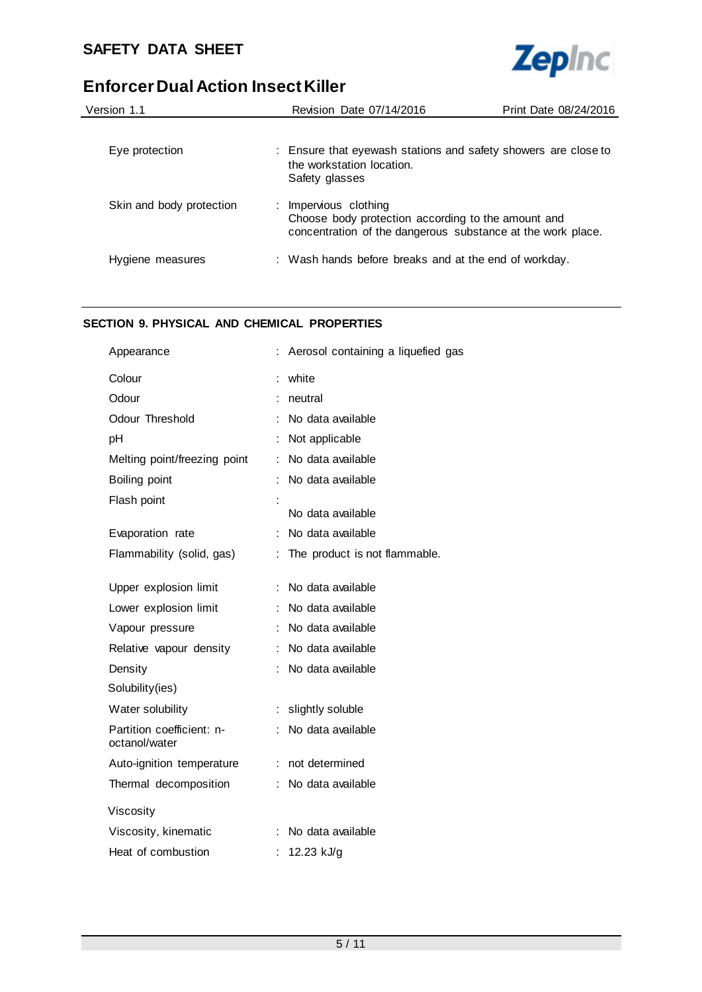

| Version 1.1              | Revision Date 07/14/2016                                                                                                                   | Print Date 08/24/2016 |
|--------------------------|--------------------------------------------------------------------------------------------------------------------------------------------|-----------------------|
| Eye protection           | : Ensure that eyewash stations and safety showers are close to<br>the workstation location.<br>Safety glasses                              |                       |
| Skin and body protection | : Impervious clothing<br>Choose body protection according to the amount and<br>concentration of the dangerous substance at the work place. |                       |
| Hygiene measures         | : Wash hands before breaks and at the end of workday.                                                                                      |                       |

## **SECTION 9. PHYSICAL AND CHEMICAL PROPERTIES**

| Appearance                                 | Aerosol containing a liquefied gas |
|--------------------------------------------|------------------------------------|
| Colour                                     | white                              |
| Odour                                      | neutral                            |
| Odour Threshold                            | No data available                  |
| pH                                         | Not applicable                     |
| Melting point/freezing point               | No data available                  |
| Boiling point                              | No data available                  |
| Flash point                                |                                    |
|                                            | No data available                  |
| Evaporation rate                           | No data available<br>÷             |
| Flammability (solid, gas)                  | The product is not flammable.      |
|                                            |                                    |
| Upper explosion limit                      | No data available                  |
| Lower explosion limit                      | No data available                  |
| Vapour pressure                            | No data available                  |
| Relative vapour density                    | No data available                  |
| Density                                    | No data available                  |
| Solubility(ies)                            |                                    |
| Water solubility                           | slightly soluble<br>t.             |
| Partition coefficient: n-<br>octanol/water | No data available                  |
| Auto-ignition temperature                  | not determined                     |
| Thermal decomposition                      | No data available                  |
| Viscosity                                  |                                    |
| Viscosity, kinematic                       | No data available                  |
| Heat of combustion                         | 12.23 kJ/g                         |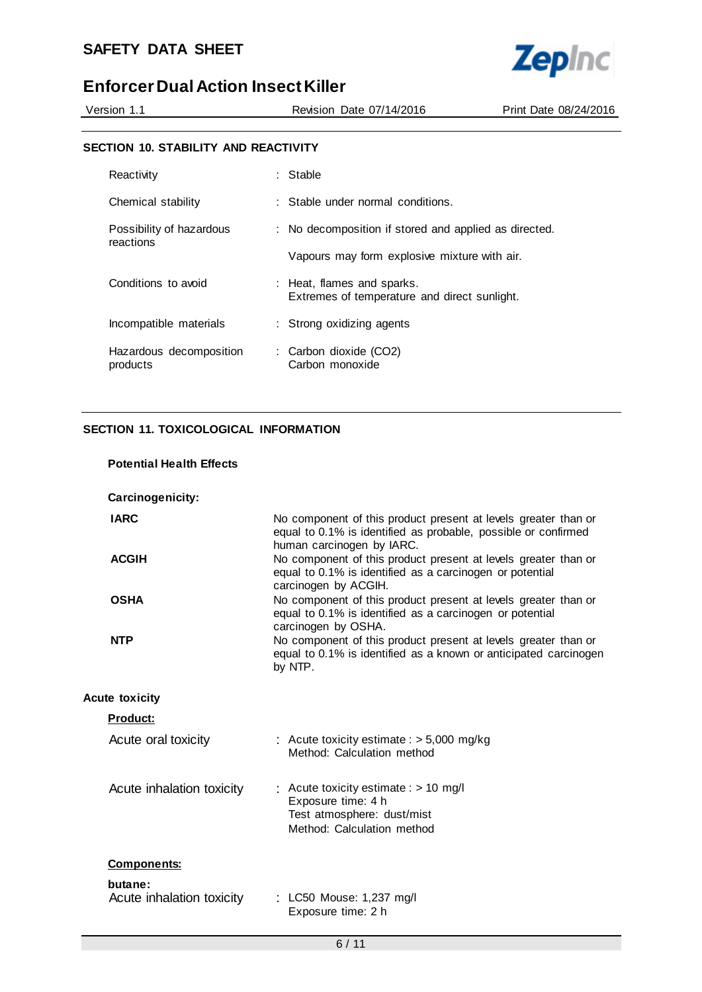

Version 1.1 Revision Date 07/14/2016 Print Date 08/24/2016

### **SECTION 10. STABILITY AND REACTIVITY**

| Reactivity                            | : Stable                                                                   |
|---------------------------------------|----------------------------------------------------------------------------|
| Chemical stability                    | $\therefore$ Stable under normal conditions.                               |
| Possibility of hazardous<br>reactions | : No decomposition if stored and applied as directed.                      |
|                                       | Vapours may form explosive mixture with air.                               |
| Conditions to avoid                   | : Heat, flames and sparks.<br>Extremes of temperature and direct sunlight. |
| Incompatible materials                | : Strong oxidizing agents                                                  |
| Hazardous decomposition<br>products   | : Carbon dioxide (CO2)<br>Carbon monoxide                                  |

## **SECTION 11. TOXICOLOGICAL INFORMATION**

| <b>Potential Health Effects</b>      |                                                                                                                                                               |
|--------------------------------------|---------------------------------------------------------------------------------------------------------------------------------------------------------------|
| Carcinogenicity:                     |                                                                                                                                                               |
| <b>IARC</b>                          | No component of this product present at levels greater than or<br>equal to 0.1% is identified as probable, possible or confirmed<br>human carcinogen by IARC. |
| <b>ACGIH</b>                         | No component of this product present at levels greater than or<br>equal to 0.1% is identified as a carcinogen or potential<br>carcinogen by ACGIH.            |
| <b>OSHA</b>                          | No component of this product present at levels greater than or<br>equal to 0.1% is identified as a carcinogen or potential<br>carcinogen by OSHA.             |
| <b>NTP</b>                           | No component of this product present at levels greater than or<br>equal to 0.1% is identified as a known or anticipated carcinogen<br>by NTP.                 |
| <b>Acute toxicity</b>                |                                                                                                                                                               |
| <b>Product:</b>                      |                                                                                                                                                               |
| Acute oral toxicity                  | : Acute toxicity estimate : $> 5,000$ mg/kg<br>Method: Calculation method                                                                                     |
| Acute inhalation toxicity            | : Acute toxicity estimate : $> 10$ mg/l<br>Exposure time: 4 h<br>Test atmosphere: dust/mist<br>Method: Calculation method                                     |
| <b>Components:</b>                   |                                                                                                                                                               |
| butane:<br>Acute inhalation toxicity | : LC50 Mouse: 1,237 mg/l<br>Exposure time: 2 h                                                                                                                |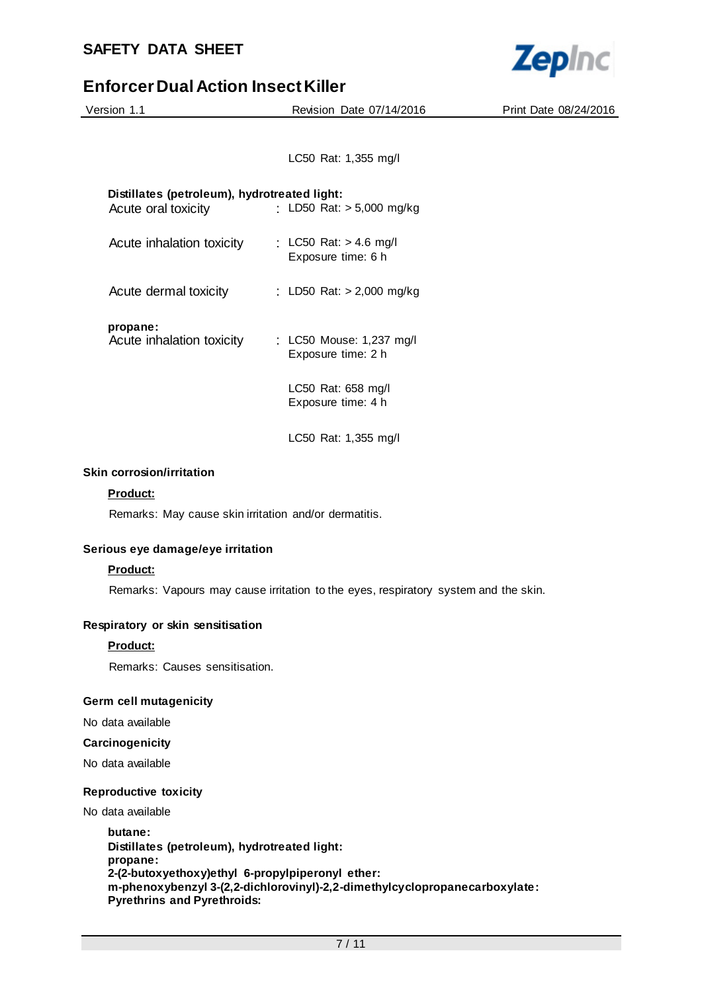

| Version 1.1                                  | Revision Date 07/14/2016    | Print Date 08/24/2016 |
|----------------------------------------------|-----------------------------|-----------------------|
|                                              |                             |                       |
|                                              | LC50 Rat: 1,355 mg/l        |                       |
| Distillates (petroleum), hydrotreated light: |                             |                       |
| Acute oral toxicity                          | : LD50 Rat: $> 5,000$ mg/kg |                       |
|                                              |                             |                       |

| Acute inhalation toxicity | : LC50 Rat: $> 4.6$ mg/l<br>Exposure time: 6 h |
|---------------------------|------------------------------------------------|
|                           |                                                |

## Acute dermal toxicity : LD50 Rat: > 2,000 mg/kg

## **propane:**

| Acute inhalation toxicity | : LC50 Mouse: 1,237 mg/l<br>Exposure time: 2 h |
|---------------------------|------------------------------------------------|
|                           |                                                |

LC50 Rat: 658 mg/l Exposure time: 4 h

LC50 Rat: 1,355 mg/l

### **Skin corrosion/irritation**

### **Product:**

Remarks: May cause skin irritation and/or dermatitis.

## **Serious eye damage/eye irritation**

### **Product:**

Remarks: Vapours may cause irritation to the eyes, respiratory system and the skin.

### **Respiratory or skin sensitisation**

### **Product:**

Remarks: Causes sensitisation.

### **Germ cell mutagenicity**

No data available

#### **Carcinogenicity**

No data available

### **Reproductive toxicity**

No data available

**butane: Distillates (petroleum), hydrotreated light: propane: 2-(2-butoxyethoxy)ethyl 6-propylpiperonyl ether: m-phenoxybenzyl 3-(2,2-dichlorovinyl)-2,2-dimethylcyclopropanecarboxylate: Pyrethrins and Pyrethroids:**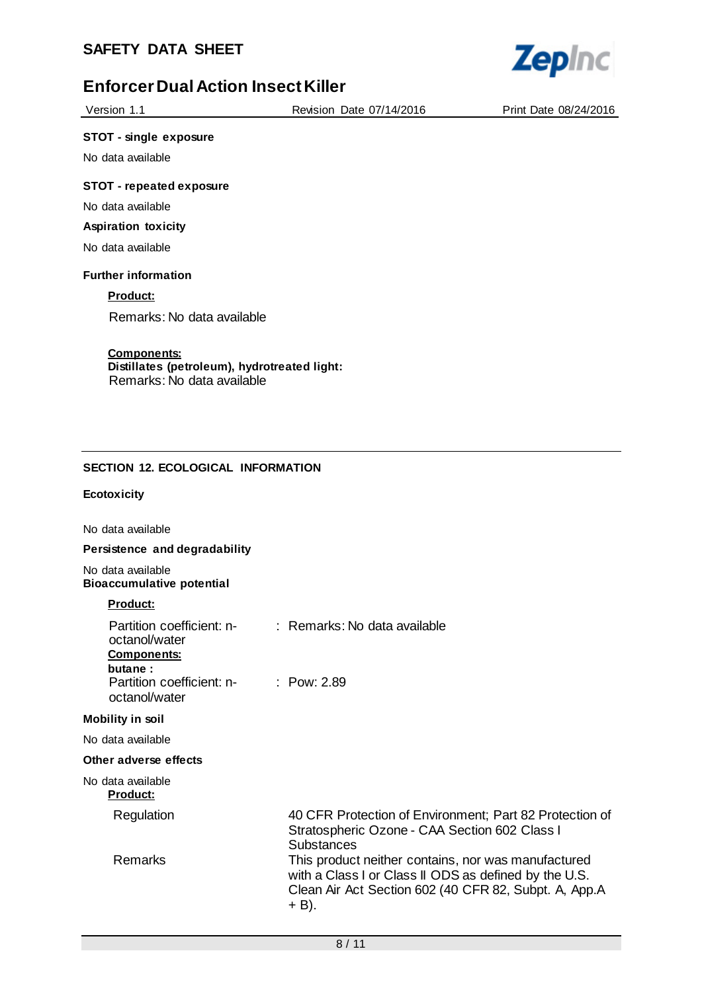

Version 1.1 Revision Date 07/14/2016 Print Date 08/24/2016

#### **STOT - single exposure**

No data available

## **STOT - repeated exposure**

No data available

## **Aspiration toxicity**

No data available

#### **Further information**

## **Product:**

Remarks: No data available

#### **Components:**

**Distillates (petroleum), hydrotreated light:** Remarks: No data available

### **SECTION 12. ECOLOGICAL INFORMATION**

#### **Ecotoxicity**

No data available

### **Persistence and degradability**

No data available **Bioaccumulative potential**

#### **Product:**

| Partition coefficient: n-<br>octanol/water<br><b>Components:</b><br>butane:<br>Partition coefficient: n-<br>octanol/water | : Remarks: No data available<br>: Pow: 2.89                                                                                                                                    |
|---------------------------------------------------------------------------------------------------------------------------|--------------------------------------------------------------------------------------------------------------------------------------------------------------------------------|
| <b>Mobility in soil</b>                                                                                                   |                                                                                                                                                                                |
| No data available                                                                                                         |                                                                                                                                                                                |
| Other adverse effects                                                                                                     |                                                                                                                                                                                |
| No data available<br><b>Product:</b>                                                                                      |                                                                                                                                                                                |
| Regulation                                                                                                                | 40 CFR Protection of Environment; Part 82 Protection of<br>Stratospheric Ozone - CAA Section 602 Class I<br>Substances                                                         |
| Remarks                                                                                                                   | This product neither contains, nor was manufactured<br>with a Class I or Class II ODS as defined by the U.S.<br>Clean Air Act Section 602 (40 CFR 82, Subpt. A, App.A<br>+ B). |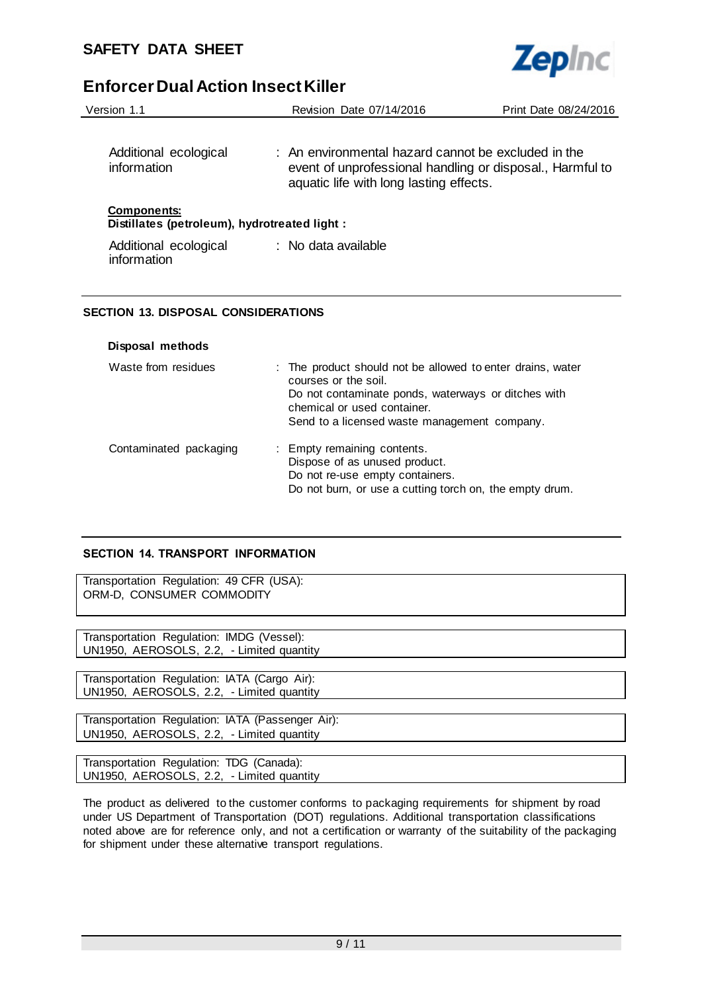

| Version 1.1                                                         | Revision Date 07/14/2016                                                                                                                                    | Print Date 08/24/2016 |
|---------------------------------------------------------------------|-------------------------------------------------------------------------------------------------------------------------------------------------------------|-----------------------|
| Additional ecological<br>information                                | : An environmental hazard cannot be excluded in the<br>event of unprofessional handling or disposal., Harmful to<br>aquatic life with long lasting effects. |                       |
| <b>Components:</b><br>Distillates (petroleum), hydrotreated light : |                                                                                                                                                             |                       |
| Additional ecological<br>information                                | : No data available                                                                                                                                         |                       |
|                                                                     |                                                                                                                                                             |                       |

## **SECTION 13. DISPOSAL CONSIDERATIONS**

#### **Disposal methods**

| Waste from residues    | : The product should not be allowed to enter drains, water<br>courses or the soil.<br>Do not contaminate ponds, waterways or ditches with<br>chemical or used container.<br>Send to a licensed waste management company. |
|------------------------|--------------------------------------------------------------------------------------------------------------------------------------------------------------------------------------------------------------------------|
| Contaminated packaging | : Empty remaining contents.<br>Dispose of as unused product.<br>Do not re-use empty containers.<br>Do not burn, or use a cutting torch on, the empty drum.                                                               |

## **SECTION 14. TRANSPORT INFORMATION**

Transportation Regulation: 49 CFR (USA): ORM-D, CONSUMER COMMODITY

Transportation Regulation: IMDG (Vessel): UN1950, AEROSOLS, 2.2, - Limited quantity

Transportation Regulation: IATA (Cargo Air): UN1950, AEROSOLS, 2.2, - Limited quantity

Transportation Regulation: IATA (Passenger Air): UN1950, AEROSOLS, 2.2, - Limited quantity

Transportation Regulation: TDG (Canada): UN1950, AEROSOLS, 2.2, - Limited quantity

The product as delivered to the customer conforms to packaging requirements for shipment by road under US Department of Transportation (DOT) regulations. Additional transportation classifications noted above are for reference only, and not a certification or warranty of the suitability of the packaging for shipment under these alternative transport regulations.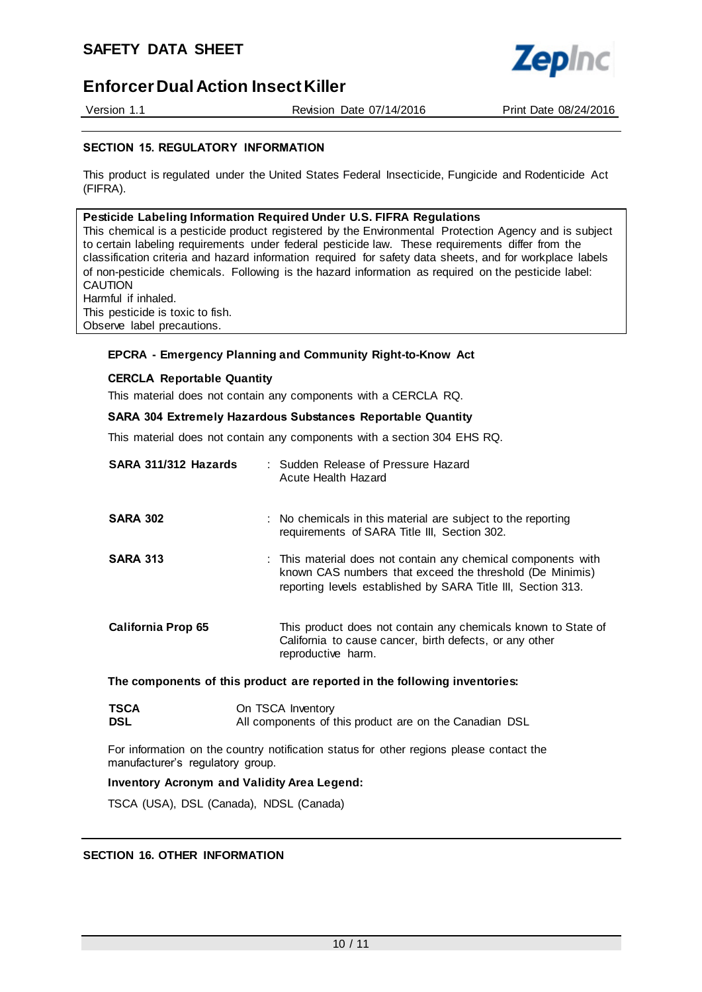Version 1.1 Revision Date 07/14/2016 Print Date 08/24/2016

**Zepinc** 

### **SECTION 15. REGULATORY INFORMATION**

This product is regulated under the United States Federal Insecticide, Fungicide and Rodenticide Act (FIFRA).

#### **Pesticide Labeling Information Required Under U.S. FIFRA Regulations**

This chemical is a pesticide product registered by the Environmental Protection Agency and is subject to certain labeling requirements under federal pesticide law. These requirements differ from the classification criteria and hazard information required for safety data sheets, and for workplace labels of non-pesticide chemicals. Following is the hazard information as required on the pesticide label: CAUTION Harmful if inhaled.

This pesticide is toxic to fish. Observe label precautions.

## **EPCRA - Emergency Planning and Community Right-to-Know Act**

#### **CERCLA Reportable Quantity**

This material does not contain any components with a CERCLA RQ.

#### **SARA 304 Extremely Hazardous Substances Reportable Quantity**

This material does not contain any components with a section 304 EHS RQ.

| SARA 311/312 Hazards                                                      |  | : Sudden Release of Pressure Hazard<br>Acute Health Hazard                                                                                                                                |
|---------------------------------------------------------------------------|--|-------------------------------------------------------------------------------------------------------------------------------------------------------------------------------------------|
| <b>SARA 302</b>                                                           |  | : No chemicals in this material are subject to the reporting<br>requirements of SARA Title III, Section 302.                                                                              |
| <b>SARA 313</b>                                                           |  | : This material does not contain any chemical components with<br>known CAS numbers that exceed the threshold (De Minimis)<br>reporting levels established by SARA Title III, Section 313. |
| <b>California Prop 65</b>                                                 |  | This product does not contain any chemicals known to State of<br>California to cause cancer, birth defects, or any other<br>reproductive harm.                                            |
| The components of this product are reported in the following inventories: |  |                                                                                                                                                                                           |

| <b>TSCA</b> | On TSCA Inventory                                      |
|-------------|--------------------------------------------------------|
| <b>DSL</b>  | All components of this product are on the Canadian DSL |

For information on the country notification status for other regions please contact the manufacturer's regulatory group.

#### **Inventory Acronym and Validity Area Legend:**

TSCA (USA), DSL (Canada), NDSL (Canada)

#### **SECTION 16. OTHER INFORMATION**